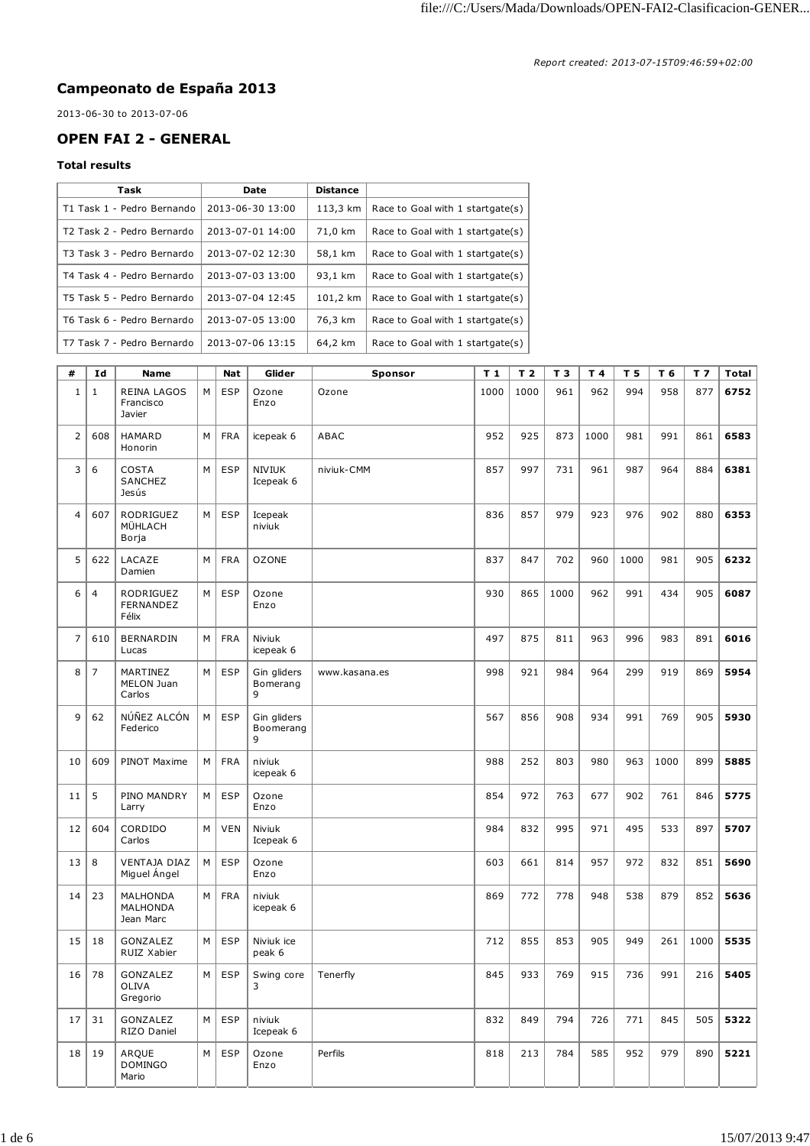## **Campeonato de España 2013**

2013-06-30 to 2013-07-06

## **OPEN FAI 2 - GENERAL**

## **Total results**

| Task                       | Date             | <b>Distance</b> |                                  |
|----------------------------|------------------|-----------------|----------------------------------|
| T1 Task 1 - Pedro Bernando | 2013-06-30 13:00 | 113,3 km        | Race to Goal with 1 startgate(s) |
| T2 Task 2 - Pedro Bernardo | 2013-07-01 14:00 | 71,0 km         | Race to Goal with 1 startgate(s) |
| T3 Task 3 - Pedro Bernardo | 2013-07-02 12:30 | 58,1 km         | Race to Goal with 1 startgate(s) |
| T4 Task 4 - Pedro Bernardo | 2013-07-03 13:00 | 93,1 km         | Race to Goal with 1 startgate(s) |
| T5 Task 5 - Pedro Bernardo | 2013-07-04 12:45 | 101,2 km        | Race to Goal with 1 startgate(s) |
| T6 Task 6 - Pedro Bernardo | 2013-07-05 13:00 | 76,3 km         | Race to Goal with 1 startgate(s) |
| T7 Task 7 - Pedro Bernardo | 2013-07-06 13:15 | 64,2 km         | Race to Goal with 1 startgate(s) |

| #              | Id    | Name                                      |   | <b>Nat</b> | Glider                        | Sponsor       | T <sub>1</sub> | T <sub>2</sub> | T 3  | T 4  | T 5  | T 6  | T <sub>7</sub> | Total |
|----------------|-------|-------------------------------------------|---|------------|-------------------------------|---------------|----------------|----------------|------|------|------|------|----------------|-------|
| $\mathbf{1}$   | 1     | <b>REINA LAGOS</b><br>Francisco<br>Javier | М | <b>ESP</b> | Ozone<br>Enzo                 | Ozone         | 1000           | 1000           | 961  | 962  | 994  | 958  | 877            | 6752  |
| $\overline{2}$ | 608   | <b>HAMARD</b><br>Honorin                  | М | <b>FRA</b> | icepeak 6                     | ABAC          | 952            | 925            | 873  | 1000 | 981  | 991  | 861            | 6583  |
| 3              | 6     | <b>COSTA</b><br>SANCHEZ<br>Jesús          | М | <b>ESP</b> | <b>NIVIUK</b><br>Icepeak 6    | niviuk-CMM    | 857            | 997            | 731  | 961  | 987  | 964  | 884            | 6381  |
| $\overline{4}$ | 607   | <b>RODRIGUEZ</b><br>MÜHLACH<br>Borja      | М | <b>ESP</b> | Icepeak<br>niviuk             |               | 836            | 857            | 979  | 923  | 976  | 902  | 880            | 6353  |
| 5              | 622   | LACAZE<br>Damien                          | М | <b>FRA</b> | <b>OZONE</b>                  |               | 837            | 847            | 702  | 960  | 1000 | 981  | 905            | 6232  |
| 6              | 4     | RODRIGUEZ<br>FERNANDEZ<br>Félix           | М | <b>ESP</b> | Ozone<br>Enzo                 |               | 930            | 865            | 1000 | 962  | 991  | 434  | 905            | 6087  |
| $\overline{7}$ | 610   | <b>BERNARDIN</b><br>Lucas                 | М | <b>FRA</b> | Niviuk<br>icepeak 6           |               | 497            | 875            | 811  | 963  | 996  | 983  | 891            | 6016  |
| 8              | 7     | MARTINEZ<br>MELON Juan<br>Carlos          | М | <b>ESP</b> | Gin gliders<br>Bomerang<br>9  | www.kasana.es | 998            | 921            | 984  | 964  | 299  | 919  | 869            | 5954  |
| 9              | 62    | NÚÑEZ ALCÓN<br>Federico                   | М | <b>ESP</b> | Gin gliders<br>Boomerang<br>9 |               | 567            | 856            | 908  | 934  | 991  | 769  | 905            | 5930  |
| 10             | 609   | PINOT Maxime                              | М | <b>FRA</b> | niviuk<br>icepeak 6           |               | 988            | 252            | 803  | 980  | 963  | 1000 | 899            | 5885  |
| 11             | 5     | PINO MANDRY<br>Larry                      | М | <b>ESP</b> | Ozone<br>Enzo                 |               | 854            | 972            | 763  | 677  | 902  | 761  | 846            | 5775  |
| 12             | 604   | CORDIDO<br>Carlos                         | М | <b>VEN</b> | Niviuk<br>Icepeak 6           |               | 984            | 832            | 995  | 971  | 495  | 533  | 897            | 5707  |
| 13             | 8     | <b>VENTAJA DIAZ</b><br>Miguel Angel       | М | <b>ESP</b> | Ozone<br>Enzo                 |               | 603            | 661            | 814  | 957  | 972  | 832  | 851            | 5690  |
| 14             | 23    | MALHONDA<br>MALHONDA<br>Jean Marc         | М | <b>FRA</b> | niviuk<br>icepeak 6           |               | 869            | 772            | 778  | 948  | 538  | 879  | 852            | 5636  |
| 15             | 18    | GONZALEZ<br>RUIZ Xabier                   | М | <b>ESP</b> | Niviuk ice<br>peak 6          |               | 712            | 855            | 853  | 905  | 949  | 261  | 1000           | 5535  |
|                | 16 78 | GONZALEZ<br>OLIVA<br>Gregorio             |   | M   ESP    | Swing core<br>3               | Tenerfly      | 845            | 933            | 769  | 915  | 736  | 991  | 216            | 5405  |
| 17             | 31    | GONZALEZ<br>RIZO Daniel                   | M | <b>ESP</b> | niviuk<br>Icepeak 6           |               | 832            | 849            | 794  | 726  | 771  | 845  | 505            | 5322  |
| 18             | 19    | ARQUE<br><b>DOMINGO</b><br>Mario          | M | <b>ESP</b> | Ozone<br>Enzo                 | Perfils       | 818            | 213            | 784  | 585  | 952  | 979  | 890            | 5221  |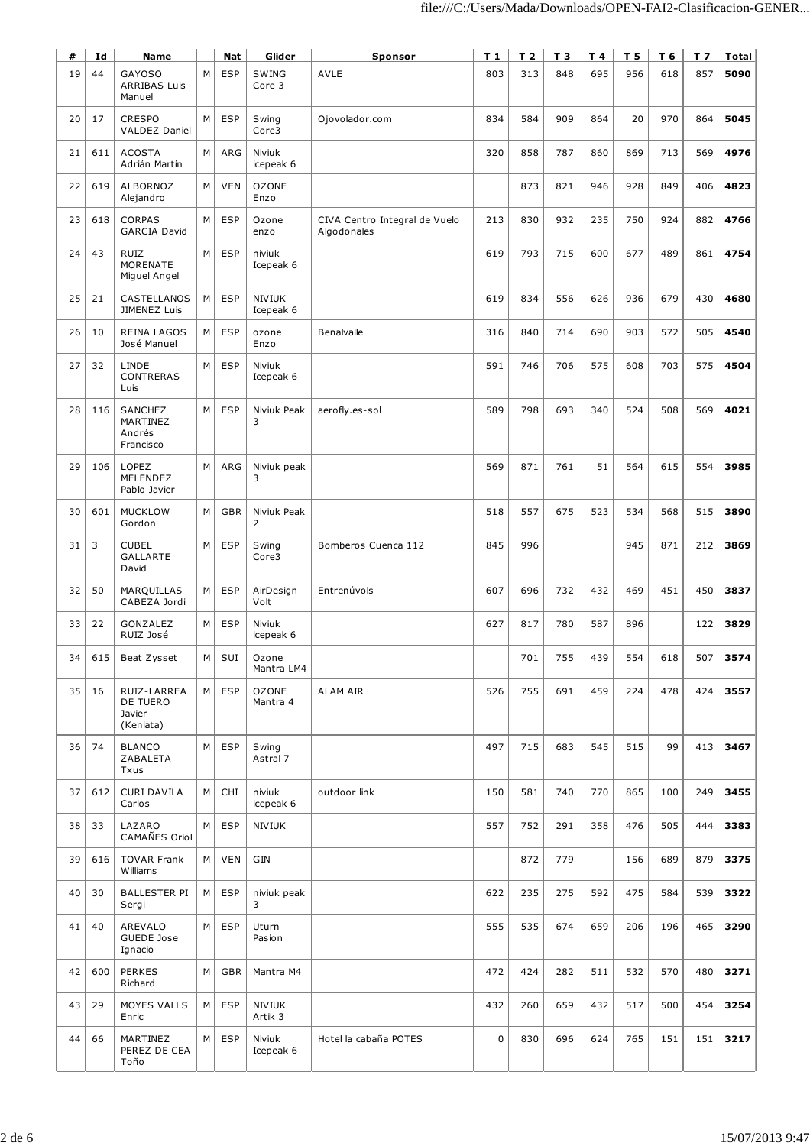| #  | Id  | <b>Name</b>                                    |   | Nat        | Glider                     | <b>Sponsor</b>                               | T 1 | T <sub>2</sub> | T <sub>3</sub> | T 4 | T <sub>5</sub> | T 6 | T 7 | Total |
|----|-----|------------------------------------------------|---|------------|----------------------------|----------------------------------------------|-----|----------------|----------------|-----|----------------|-----|-----|-------|
| 19 | 44  | <b>GAYOSO</b><br><b>ARRIBAS Luis</b><br>Manuel | М | <b>ESP</b> | SWING<br>Core 3            | <b>AVLE</b>                                  | 803 | 313            | 848            | 695 | 956            | 618 | 857 | 5090  |
| 20 | 17  | <b>CRESPO</b><br><b>VALDEZ Daniel</b>          | M | <b>ESP</b> | Swing<br>Core3             | Ojovolador.com                               | 834 | 584            | 909            | 864 | 20             | 970 | 864 | 5045  |
| 21 | 611 | <b>ACOSTA</b><br>Adrián Martín                 | M | ARG        | Niviuk<br>icepeak 6        |                                              | 320 | 858            | 787            | 860 | 869            | 713 | 569 | 4976  |
| 22 | 619 | <b>ALBORNOZ</b><br>Alejandro                   | M | <b>VEN</b> | <b>OZONE</b><br>Enzo       |                                              |     | 873            | 821            | 946 | 928            | 849 | 406 | 4823  |
| 23 | 618 | <b>CORPAS</b><br><b>GARCIA David</b>           | M | <b>ESP</b> | Ozone<br>enzo              | CIVA Centro Integral de Vuelo<br>Algodonales | 213 | 830            | 932            | 235 | 750            | 924 | 882 | 4766  |
| 24 | 43  | <b>RUIZ</b><br>MORENATE<br>Miguel Angel        | М | <b>ESP</b> | niviuk<br>Icepeak 6        |                                              | 619 | 793            | 715            | 600 | 677            | 489 | 861 | 4754  |
| 25 | 21  | CASTELLANOS<br>JIMENEZ Luis                    | м | <b>ESP</b> | <b>NIVIUK</b><br>Icepeak 6 |                                              | 619 | 834            | 556            | 626 | 936            | 679 | 430 | 4680  |
| 26 | 10  | <b>REINA LAGOS</b><br>José Manuel              | М | <b>ESP</b> | ozone<br>Enzo              | Benalvalle                                   | 316 | 840            | 714            | 690 | 903            | 572 | 505 | 4540  |
| 27 | 32  | LINDE<br>CONTRERAS<br>Luis                     | M | <b>ESP</b> | Niviuk<br>Icepeak 6        |                                              | 591 | 746            | 706            | 575 | 608            | 703 | 575 | 4504  |
| 28 | 116 | SANCHEZ<br>MARTINEZ<br>Andrés<br>Francisco     | M | <b>ESP</b> | Niviuk Peak<br>3           | aerofly.es-sol                               | 589 | 798            | 693            | 340 | 524            | 508 | 569 | 4021  |
| 29 | 106 | LOPEZ<br>MELENDEZ<br>Pablo Javier              | M | ARG        | Niviuk peak<br>3           |                                              | 569 | 871            | 761            | 51  | 564            | 615 | 554 | 3985  |
| 30 | 601 | <b>MUCKLOW</b><br>Gordon                       | M | GBR        | Niviuk Peak<br>2           |                                              | 518 | 557            | 675            | 523 | 534            | 568 | 515 | 3890  |
| 31 | 3   | <b>CUBEL</b><br><b>GALLARTE</b><br>David       | M | <b>ESP</b> | Swing<br>Core3             | Bomberos Cuenca 112                          | 845 | 996            |                |     | 945            | 871 | 212 | 3869  |
| 32 | 50  | MARQUILLAS<br>CABEZA Jordi                     | M | <b>ESP</b> | AirDesign<br>Volt          | Entrenúvols                                  | 607 | 696            | 732            | 432 | 469            | 451 | 450 | 3837  |
| 33 | 22  | GONZALEZ<br>RUIZ José                          | М | <b>ESP</b> | Niviuk<br>icepeak 6        |                                              | 627 | 817            | 780            | 587 | 896            |     | 122 | 3829  |
| 34 | 615 | Beat Zysset                                    | М | SUI        | Ozone<br>Mantra LM4        |                                              |     | 701            | 755            | 439 | 554            | 618 | 507 | 3574  |
| 35 | 16  | RUIZ-LARREA<br>DE TUERO<br>Javier<br>(Keniata) | M | <b>ESP</b> | <b>OZONE</b><br>Mantra 4   | ALAM AIR                                     | 526 | 755            | 691            | 459 | 224            | 478 | 424 | 3557  |
| 36 | 74  | <b>BLANCO</b><br>ZABALETA<br>Txus              | М | <b>ESP</b> | Swing<br>Astral 7          |                                              | 497 | 715            | 683            | 545 | 515            | 99  | 413 | 3467  |
| 37 | 612 | <b>CURI DAVILA</b><br>Carlos                   | M | CHI        | niviuk<br>icepeak 6        | outdoor link                                 | 150 | 581            | 740            | 770 | 865            | 100 | 249 | 3455  |
| 38 | 33  | LAZARO<br>CAMAÑES Oriol                        | м | <b>ESP</b> | NIVIUK                     |                                              | 557 | 752            | 291            | 358 | 476            | 505 | 444 | 3383  |
| 39 | 616 | <b>TOVAR Frank</b><br>Williams                 | M | <b>VEN</b> | GIN                        |                                              |     | 872            | 779            |     | 156            | 689 | 879 | 3375  |
| 40 | 30  | BALLESTER PI<br>Sergi                          | м | <b>ESP</b> | niviuk peak<br>3           |                                              | 622 | 235            | 275            | 592 | 475            | 584 | 539 | 3322  |
| 41 | 40  | AREVALO<br>GUEDE Jose<br>Ignacio               | М | <b>ESP</b> | Uturn<br>Pasion            |                                              | 555 | 535            | 674            | 659 | 206            | 196 | 465 | 3290  |
| 42 | 600 | <b>PERKES</b><br>Richard                       | M | GBR        | Mantra M4                  |                                              | 472 | 424            | 282            | 511 | 532            | 570 | 480 | 3271  |
| 43 | 29  | MOYES VALLS<br>Enric                           | м | ESP        | NIVIUK<br>Artik 3          |                                              | 432 | 260            | 659            | 432 | 517            | 500 | 454 | 3254  |
| 44 | 66  | MARTINEZ<br>PEREZ DE CEA<br>Toño               | M | <b>ESP</b> | Niviuk<br>Icepeak 6        | Hotel la cabaña POTES                        | 0   | 830            | 696            | 624 | 765            | 151 | 151 | 3217  |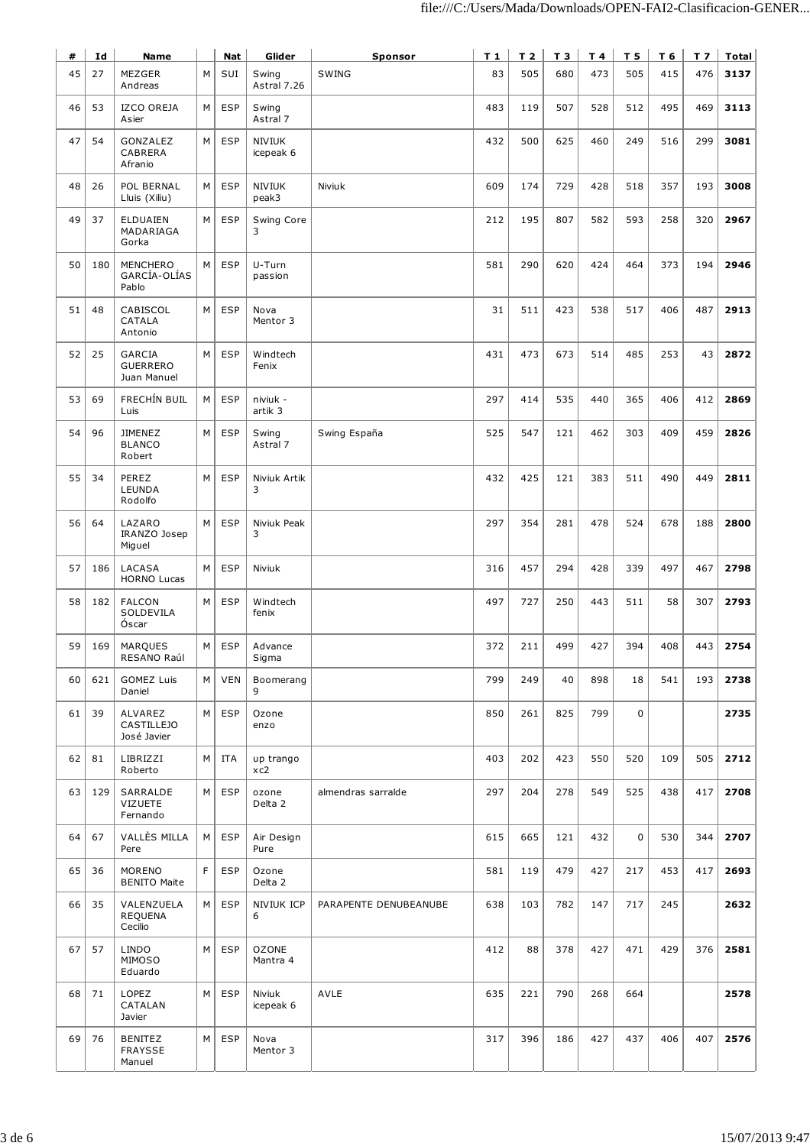| #  | Id  | Name                                        |   | Nat        | Glider                     | <b>Sponsor</b>        | T 1 | T <sub>2</sub> | T 3 | T 4 | T 5         | T 6 | T <sub>7</sub> | Total |
|----|-----|---------------------------------------------|---|------------|----------------------------|-----------------------|-----|----------------|-----|-----|-------------|-----|----------------|-------|
| 45 | 27  | <b>MEZGER</b><br>Andreas                    | M | SUI        | Swing<br>Astral 7.26       | SWING                 | 83  | 505            | 680 | 473 | 505         | 415 | 476            | 3137  |
| 46 | 53  | <b>IZCO OREJA</b><br>Asier                  | м | <b>ESP</b> | Swing<br>Astral 7          |                       | 483 | 119            | 507 | 528 | 512         | 495 | 469            | 3113  |
| 47 | 54  | GONZALEZ<br>CABRERA<br>Afranio              | M | <b>ESP</b> | <b>NIVIUK</b><br>icepeak 6 |                       | 432 | 500            | 625 | 460 | 249         | 516 | 299            | 3081  |
| 48 | 26  | POL BERNAL<br>Lluis (Xiliu)                 | M | <b>ESP</b> | NIVIUK<br>peak3            | Niviuk                | 609 | 174            | 729 | 428 | 518         | 357 | 193            | 3008  |
| 49 | 37  | ELDUAIEN<br>MADARIAGA<br>Gorka              | М | <b>ESP</b> | Swing Core<br>3            |                       | 212 | 195            | 807 | 582 | 593         | 258 | 320            | 2967  |
| 50 | 180 | <b>MENCHERO</b><br>GARCÍA-OLÍAS<br>Pablo    | M | <b>ESP</b> | U-Turn<br>passion          |                       | 581 | 290            | 620 | 424 | 464         | 373 | 194            | 2946  |
| 51 | 48  | CABISCOL<br>CATALA<br>Antonio               | M | <b>ESP</b> | Nova<br>Mentor 3           |                       | 31  | 511            | 423 | 538 | 517         | 406 | 487            | 2913  |
| 52 | 25  | GARCIA<br><b>GUERRERO</b><br>Juan Manuel    | M | <b>ESP</b> | Windtech<br>Fenix          |                       | 431 | 473            | 673 | 514 | 485         | 253 | 43             | 2872  |
| 53 | 69  | FRECHÍN BUIL<br>Luis                        | M | <b>ESP</b> | niviuk -<br>artik 3        |                       | 297 | 414            | 535 | 440 | 365         | 406 | 412            | 2869  |
| 54 | 96  | <b>JIMENEZ</b><br><b>BLANCO</b><br>Robert   | M | <b>ESP</b> | Swing<br>Astral 7          | Swing España          | 525 | 547            | 121 | 462 | 303         | 409 | 459            | 2826  |
| 55 | 34  | PEREZ<br>LEUNDA<br>Rodolfo                  | M | <b>ESP</b> | Niviuk Artik<br>3          |                       | 432 | 425            | 121 | 383 | 511         | 490 | 449            | 2811  |
| 56 | 64  | LAZARO<br>IRANZO Josep<br>Miguel            | M | <b>ESP</b> | Niviuk Peak<br>3           |                       | 297 | 354            | 281 | 478 | 524         | 678 | 188            | 2800  |
| 57 | 186 | LACASA<br><b>HORNO Lucas</b>                | M | <b>ESP</b> | Niviuk                     |                       | 316 | 457            | 294 | 428 | 339         | 497 | 467            | 2798  |
| 58 | 182 | <b>FALCON</b><br>SOLDEVILA<br>Óscar         | M | <b>ESP</b> | Windtech<br>fenix          |                       | 497 | 727            | 250 | 443 | 511         | 58  | 307            | 2793  |
| 59 | 169 | MARQUES<br>RESANO Raúl                      | M | <b>ESP</b> | Advance<br>Sigma           |                       | 372 | 211            | 499 | 427 | 394         | 408 | 443            | 2754  |
| 60 | 621 | <b>GOMEZ Luis</b><br>Daniel                 | M | <b>VEN</b> | Boomerang<br>9             |                       | 799 | 249            | 40  | 898 | 18          | 541 | 193            | 2738  |
| 61 | 39  | ALVAREZ<br><b>CASTILLEJO</b><br>José Javier | M | <b>ESP</b> | Ozone<br>enzo              |                       | 850 | 261            | 825 | 799 | 0           |     |                | 2735  |
| 62 | 81  | LIBRIZZI<br>Roberto                         | м | ITA        | up trango<br>xc2           |                       | 403 | 202            | 423 | 550 | 520         | 109 | 505            | 2712  |
| 63 | 129 | SARRALDE<br><b>VIZUETE</b><br>Fernando      | M | ESP        | ozone<br>Delta 2           | almendras sarralde    | 297 | 204            | 278 | 549 | 525         | 438 | 417            | 2708  |
| 64 | 67  | VALLÈS MILLA<br>Pere                        | M | <b>ESP</b> | Air Design<br>Pure         |                       | 615 | 665            | 121 | 432 | $\mathbf 0$ | 530 | 344            | 2707  |
| 65 | 36  | MORENO<br><b>BENITO Maite</b>               | F | <b>ESP</b> | Ozone<br>Delta 2           |                       | 581 | 119            | 479 | 427 | 217         | 453 | 417            | 2693  |
| 66 | 35  | VALENZUELA<br><b>REQUENA</b><br>Cecilio     | M | <b>ESP</b> | NIVIUK ICP<br>6            | PARAPENTE DENUBEANUBE | 638 | 103            | 782 | 147 | 717         | 245 |                | 2632  |
| 67 | 57  | <b>LINDO</b><br>MIMOSO<br>Eduardo           | М | ESP        | <b>OZONE</b><br>Mantra 4   |                       | 412 | 88             | 378 | 427 | 471         | 429 | 376            | 2581  |
| 68 | 71  | LOPEZ<br>CATALAN<br>Javier                  | M | <b>ESP</b> | Niviuk<br>icepeak 6        | AVLE                  | 635 | 221            | 790 | 268 | 664         |     |                | 2578  |
| 69 | 76  | <b>BENITEZ</b><br>FRAYSSE<br>Manuel         | M | ESP        | Nova<br>Mentor 3           |                       | 317 | 396            | 186 | 427 | 437         | 406 | 407            | 2576  |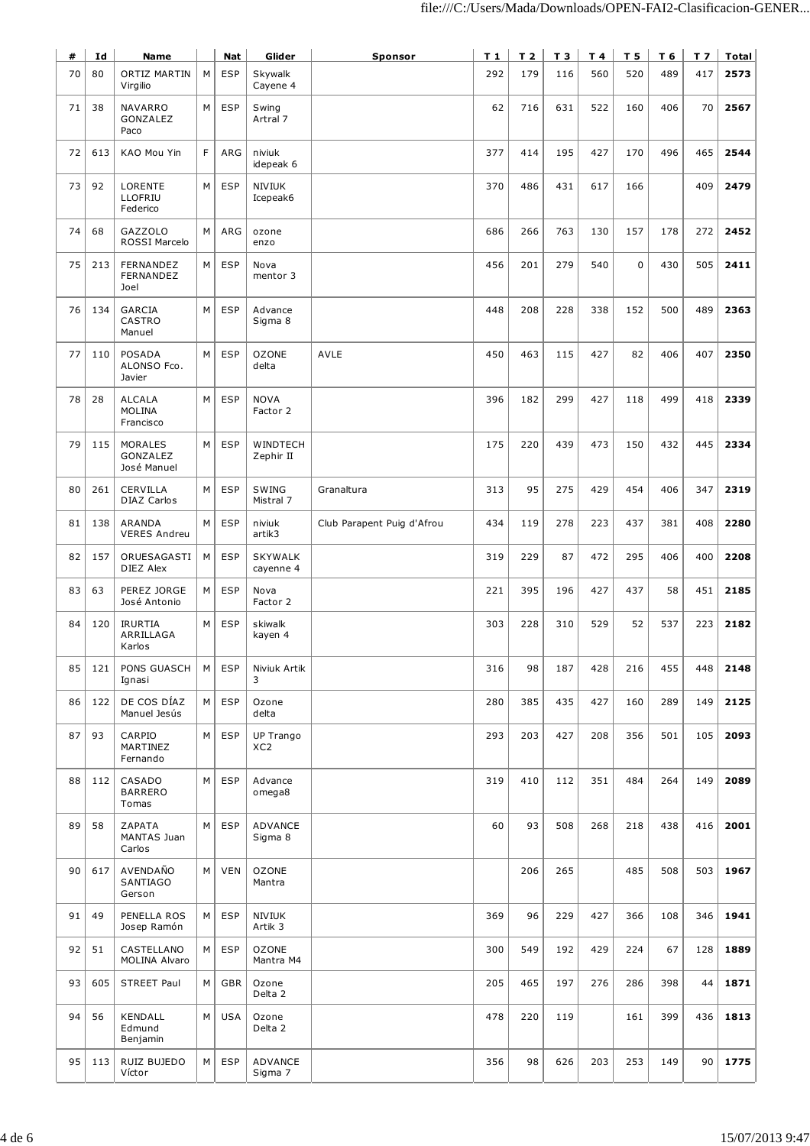| #  | Id  | <b>Name</b>                                 |   | <b>Nat</b> | Glider                       | <b>Sponsor</b>             | $T_1$ | T <sub>2</sub> | T 3 | T 4 | T <sub>5</sub> | T 6 | T <sub>7</sub> | Total |
|----|-----|---------------------------------------------|---|------------|------------------------------|----------------------------|-------|----------------|-----|-----|----------------|-----|----------------|-------|
| 70 | 80  | ORTIZ MARTIN<br>Virgilio                    | M | <b>ESP</b> | Skywalk<br>Cayene 4          |                            | 292   | 179            | 116 | 560 | 520            | 489 | 417            | 2573  |
| 71 | 38  | NAVARRO<br>GONZALEZ<br>Paco                 | M | <b>ESP</b> | Swing<br>Artral 7            |                            | 62    | 716            | 631 | 522 | 160            | 406 | 70             | 2567  |
| 72 | 613 | KAO Mou Yin                                 | F | ARG        | niviuk<br>idepeak 6          |                            | 377   | 414            | 195 | 427 | 170            | 496 | 465            | 2544  |
| 73 | 92  | LORENTE<br>LLOFRIU<br>Federico              | M | <b>ESP</b> | <b>NIVIUK</b><br>Icepeak6    |                            | 370   | 486            | 431 | 617 | 166            |     | 409            | 2479  |
| 74 | 68  | <b>GAZZOLO</b><br>ROSSI Marcelo             | M | ARG        | ozone<br>enzo                |                            | 686   | 266            | 763 | 130 | 157            | 178 | 272            | 2452  |
| 75 | 213 | FERNANDEZ<br>FERNANDEZ<br>Joel              | М | <b>ESP</b> | Nova<br>mentor 3             |                            | 456   | 201            | 279 | 540 | 0              | 430 | 505            | 2411  |
| 76 | 134 | <b>GARCIA</b><br>CASTRO<br>Manuel           | М | <b>ESP</b> | Advance<br>Sigma 8           |                            | 448   | 208            | 228 | 338 | 152            | 500 | 489            | 2363  |
| 77 | 110 | <b>POSADA</b><br>ALONSO Fco.<br>Javier      | М | <b>ESP</b> | <b>OZONE</b><br>delta        | AVLE                       | 450   | 463            | 115 | 427 | 82             | 406 | 407            | 2350  |
| 78 | 28  | <b>ALCALA</b><br><b>MOLINA</b><br>Francisco | M | <b>ESP</b> | <b>NOVA</b><br>Factor 2      |                            | 396   | 182            | 299 | 427 | 118            | 499 | 418            | 2339  |
| 79 | 115 | MORALES<br>GONZALEZ<br>José Manuel          | M | <b>ESP</b> | WINDTECH<br>Zephir II        |                            | 175   | 220            | 439 | 473 | 150            | 432 | 445            | 2334  |
| 80 | 261 | CERVILLA<br><b>DIAZ Carlos</b>              | М | <b>ESP</b> | SWING<br>Mistral 7           | Granaltura                 | 313   | 95             | 275 | 429 | 454            | 406 | 347            | 2319  |
| 81 | 138 | ARANDA<br><b>VERES Andreu</b>               | M | <b>ESP</b> | niviuk<br>artik3             | Club Parapent Puig d'Afrou | 434   | 119            | 278 | 223 | 437            | 381 | 408            | 2280  |
| 82 | 157 | ORUESAGASTI<br>DIEZ Alex                    | М | <b>ESP</b> | <b>SKYWALK</b><br>cayenne 4  |                            | 319   | 229            | 87  | 472 | 295            | 406 | 400            | 2208  |
| 83 | 63  | PEREZ JORGE<br>José Antonio                 | M | <b>ESP</b> | Nova<br>Factor 2             |                            | 221   | 395            | 196 | 427 | 437            | 58  | 451            | 2185  |
| 84 | 120 | <b>IRURTIA</b><br>ARRILLAGA<br>Karlos       | М | <b>ESP</b> | skiwalk<br>kayen 4           |                            | 303   | 228            | 310 | 529 | 52             | 537 | 223            | 2182  |
| 85 | 121 | PONS GUASCH<br>Ignasi                       | М | <b>ESP</b> | Niviuk Artik<br>3            |                            | 316   | 98             | 187 | 428 | 216            | 455 | 448            | 2148  |
| 86 | 122 | DE COS DÍAZ<br>Manuel Jesús                 | М | <b>ESP</b> | Ozone<br>delta               |                            | 280   | 385            | 435 | 427 | 160            | 289 | 149            | 2125  |
| 87 | 93  | CARPIO<br>MARTINEZ<br>Fernando              | M | <b>ESP</b> | UP Trango<br>XC <sub>2</sub> |                            | 293   | 203            | 427 | 208 | 356            | 501 | 105            | 2093  |
| 88 | 112 | CASADO<br><b>BARRERO</b><br>Tomas           | M | <b>ESP</b> | Advance<br>omega8            |                            | 319   | 410            | 112 | 351 | 484            | 264 | 149            | 2089  |
| 89 | 58  | ZAPATA<br>MANTAS Juan<br>Carlos             | М | <b>ESP</b> | ADVANCE<br>Sigma 8           |                            | 60    | 93             | 508 | 268 | 218            | 438 | 416            | 2001  |
| 90 | 617 | AVENDAÑO<br>SANTIAGO<br>Gerson              | М | <b>VEN</b> | <b>OZONE</b><br>Mantra       |                            |       | 206            | 265 |     | 485            | 508 | 503            | 1967  |
| 91 | 49  | PENELLA ROS<br>Josep Ramón                  | М | <b>ESP</b> | <b>NIVIUK</b><br>Artik 3     |                            | 369   | 96             | 229 | 427 | 366            | 108 | 346            | 1941  |
| 92 | 51  | CASTELLANO<br>MOLINA Alvaro                 | М | <b>ESP</b> | <b>OZONE</b><br>Mantra M4    |                            | 300   | 549            | 192 | 429 | 224            | 67  | 128            | 1889  |
| 93 | 605 | <b>STREET Paul</b>                          | М | GBR        | Ozone<br>Delta 2             |                            | 205   | 465            | 197 | 276 | 286            | 398 | 44             | 1871  |
| 94 | 56  | KENDALL<br>Edmund<br>Benjamin               | М | <b>USA</b> | Ozone<br>Delta 2             |                            | 478   | 220            | 119 |     | 161            | 399 | 436            | 1813  |
| 95 | 113 | RUIZ BUJEDO<br>Víctor                       | М | <b>ESP</b> | ADVANCE<br>Sigma 7           |                            | 356   | 98             | 626 | 203 | 253            | 149 | 90             | 1775  |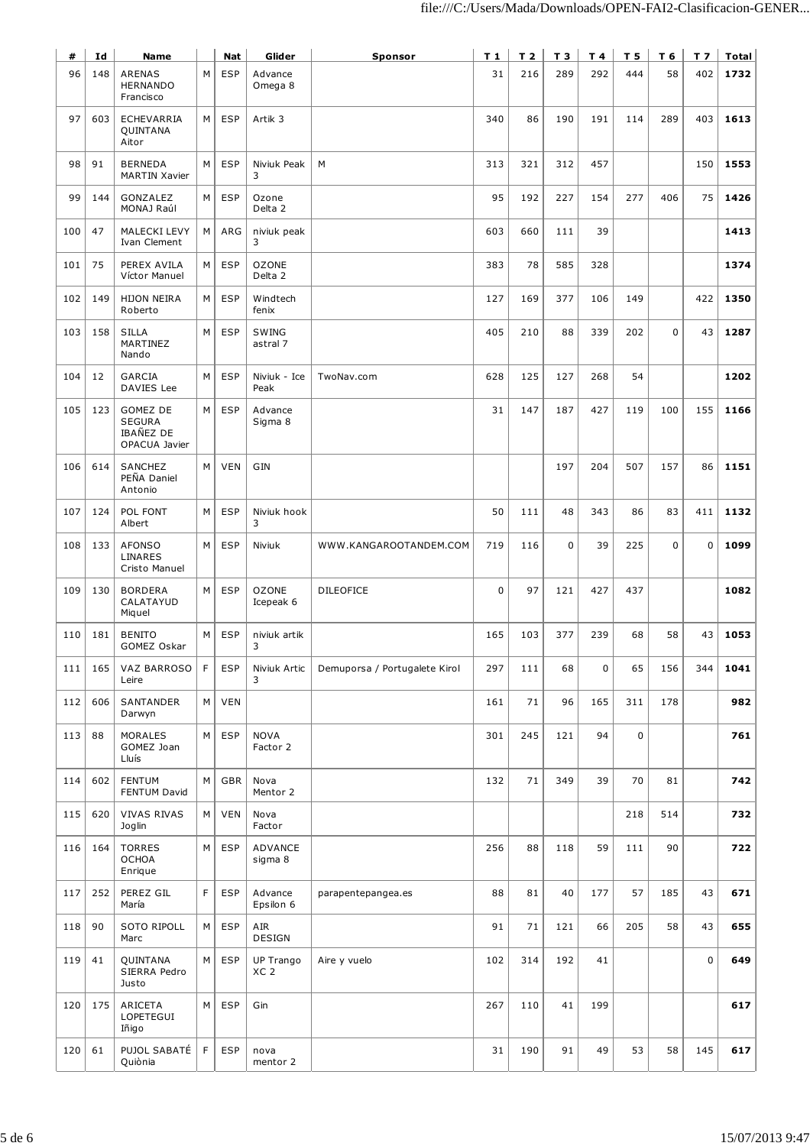| #   | Id  | Name                                                           |    | Nat        | Glider                       | Sponsor                       | T 1         | T <sub>2</sub> | T 3         | T 4 | T 5 | T 6         | T <sub>7</sub> | Total |
|-----|-----|----------------------------------------------------------------|----|------------|------------------------------|-------------------------------|-------------|----------------|-------------|-----|-----|-------------|----------------|-------|
| 96  | 148 | <b>ARENAS</b><br><b>HERNANDO</b><br>Francisco                  | М  | <b>ESP</b> | Advance<br>Omega 8           |                               | 31          | 216            | 289         | 292 | 444 | 58          | 402            | 1732  |
| 97  | 603 | <b>ECHEVARRIA</b><br>QUINTANA<br>Aitor                         | M  | <b>ESP</b> | Artik <sub>3</sub>           |                               | 340         | 86             | 190         | 191 | 114 | 289         | 403            | 1613  |
| 98  | 91  | <b>BERNEDA</b><br><b>MARTIN Xavier</b>                         | М  | <b>ESP</b> | Niviuk Peak<br>3             | М                             | 313         | 321            | 312         | 457 |     |             | 150            | 1553  |
| 99  | 144 | GONZALEZ<br>MONAJ Raúl                                         | М  | <b>ESP</b> | Ozone<br>Delta 2             |                               | 95          | 192            | 227         | 154 | 277 | 406         | 75             | 1426  |
| 100 | 47  | MALECKI LEVY<br>Ivan Clement                                   | М  | ARG        | niviuk peak<br>3             |                               | 603         | 660            | 111         | 39  |     |             |                | 1413  |
| 101 | 75  | PEREX AVILA<br>Víctor Manuel                                   | М  | <b>ESP</b> | <b>OZONE</b><br>Delta 2      |                               | 383         | 78             | 585         | 328 |     |             |                | 1374  |
| 102 | 149 | <b>HIJON NEIRA</b><br>Roberto                                  | М  | <b>ESP</b> | Windtech<br>fenix            |                               | 127         | 169            | 377         | 106 | 149 |             | 422            | 1350  |
| 103 | 158 | <b>SILLA</b><br>MARTINEZ<br>Nando                              | М  | <b>ESP</b> | SWING<br>astral 7            |                               | 405         | 210            | 88          | 339 | 202 | $\mathbf 0$ | 43             | 1287  |
| 104 | 12  | <b>GARCIA</b><br>DAVIES Lee                                    | M  | <b>ESP</b> | Niviuk - Ice<br>Peak         | TwoNav.com                    | 628         | 125            | 127         | 268 | 54  |             |                | 1202  |
| 105 | 123 | GOMEZ DE<br><b>SEGURA</b><br><b>IBAÑEZ DE</b><br>OPACUA Javier | M  | <b>ESP</b> | Advance<br>Sigma 8           |                               | 31          | 147            | 187         | 427 | 119 | 100         | 155            | 1166  |
| 106 | 614 | SANCHEZ<br>PEÑA Daniel<br>Antonio                              | М  | <b>VEN</b> | GIN                          |                               |             |                | 197         | 204 | 507 | 157         | 86             | 1151  |
| 107 | 124 | POL FONT<br>Albert                                             | М  | <b>ESP</b> | Niviuk hook<br>3             |                               | 50          | 111            | 48          | 343 | 86  | 83          | 411            | 1132  |
| 108 | 133 | <b>AFONSO</b><br>LINARES<br>Cristo Manuel                      | M  | <b>ESP</b> | Niviuk                       | WWW.KANGAROOTANDEM.COM        | 719         | 116            | $\mathbf 0$ | 39  | 225 | 0           | $\mathbf 0$    | 1099  |
| 109 | 130 | <b>BORDERA</b><br>CALATAYUD<br>Miquel                          | М  | <b>ESP</b> | <b>OZONE</b><br>Icepeak 6    | <b>DILEOFICE</b>              | $\mathbf 0$ | 97             | 121         | 427 | 437 |             |                | 1082  |
| 110 | 181 | <b>BENITO</b><br>GOMEZ Oskar                                   | М  | <b>ESP</b> | niviuk artik<br>3            |                               | 165         | 103            | 377         | 239 | 68  | 58          | 43             | 1053  |
| 111 | 165 | VAZ BARROSO<br>Leire                                           | F  | <b>ESP</b> | Niviuk Artic<br>3            | Demuporsa / Portugalete Kirol | 297         | 111            | 68          | 0   | 65  | 156         | 344            | 1041  |
| 112 | 606 | SANTANDER<br>Darwyn                                            | M  | <b>VEN</b> |                              |                               | 161         | 71             | 96          | 165 | 311 | 178         |                | 982   |
| 113 | 88  | <b>MORALES</b><br>GOMEZ Joan<br>Lluís                          | М  | <b>ESP</b> | <b>NOVA</b><br>Factor 2      |                               | 301         | 245            | 121         | 94  | 0   |             |                | 761   |
| 114 | 602 | <b>FENTUM</b><br>FENTUM David                                  | М  | GBR        | Nova<br>Mentor 2             |                               | 132         | 71             | 349         | 39  | 70  | 81          |                | 742   |
| 115 | 620 | <b>VIVAS RIVAS</b><br>Joglin                                   | M  | <b>VEN</b> | Nova<br>Factor               |                               |             |                |             |     | 218 | 514         |                | 732   |
| 116 | 164 | <b>TORRES</b><br><b>OCHOA</b><br>Enrique                       | М  | <b>ESP</b> | ADVANCE<br>sigma 8           |                               | 256         | 88             | 118         | 59  | 111 | 90          |                | 722   |
| 117 | 252 | PEREZ GIL<br>María                                             | F  | <b>ESP</b> | Advance<br>Epsilon 6         | parapentepangea.es            | 88          | 81             | 40          | 177 | 57  | 185         | 43             | 671   |
| 118 | 90  | <b>SOTO RIPOLL</b><br>Marc                                     | M  | <b>ESP</b> | AIR<br>DESIGN                |                               | 91          | 71             | 121         | 66  | 205 | 58          | 43             | 655   |
| 119 | 41  | QUINTANA<br>SIERRA Pedro<br>Justo                              | М  | <b>ESP</b> | UP Trango<br>XC <sub>2</sub> | Aire y vuelo                  | 102         | 314            | 192         | 41  |     |             | $\mathbf 0$    | 649   |
| 120 | 175 | ARICETA<br>LOPETEGUI<br>Iñigo                                  | М  | <b>ESP</b> | Gin                          |                               | 267         | 110            | 41          | 199 |     |             |                | 617   |
| 120 | 61  | PUJOL SABATÉ<br>Quiònia                                        | F. | <b>ESP</b> | nova<br>mentor 2             |                               | 31          | 190            | 91          | 49  | 53  | 58          | 145            | 617   |